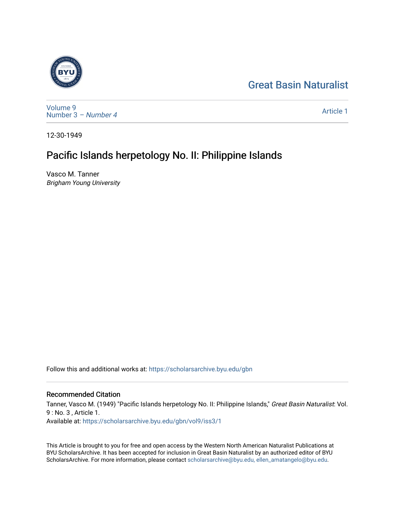# [Great Basin Naturalist](https://scholarsarchive.byu.edu/gbn)



[Volume 9](https://scholarsarchive.byu.edu/gbn/vol9) [Number 3](https://scholarsarchive.byu.edu/gbn/vol9/iss3) – Number 4

[Article 1](https://scholarsarchive.byu.edu/gbn/vol9/iss3/1) 

12-30-1949

# Pacific Islands herpetology No. II: Philippine Islands

Vasco M. Tanner Brigham Young University

Follow this and additional works at: [https://scholarsarchive.byu.edu/gbn](https://scholarsarchive.byu.edu/gbn?utm_source=scholarsarchive.byu.edu%2Fgbn%2Fvol9%2Fiss3%2F1&utm_medium=PDF&utm_campaign=PDFCoverPages) 

## Recommended Citation

Tanner, Vasco M. (1949) "Pacific Islands herpetology No. II: Philippine Islands," Great Basin Naturalist: Vol. 9 : No. 3 , Article 1. Available at: [https://scholarsarchive.byu.edu/gbn/vol9/iss3/1](https://scholarsarchive.byu.edu/gbn/vol9/iss3/1?utm_source=scholarsarchive.byu.edu%2Fgbn%2Fvol9%2Fiss3%2F1&utm_medium=PDF&utm_campaign=PDFCoverPages) 

This Article is brought to you for free and open access by the Western North American Naturalist Publications at BYU ScholarsArchive. It has been accepted for inclusion in Great Basin Naturalist by an authorized editor of BYU ScholarsArchive. For more information, please contact [scholarsarchive@byu.edu, ellen\\_amatangelo@byu.edu.](mailto:scholarsarchive@byu.edu,%20ellen_amatangelo@byu.edu)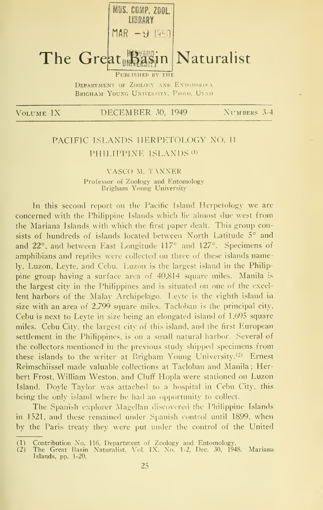

BRIGHAM YOUNG UNIVERSITY. PROVO. UTAH

VOLUME IX DECEMBER 30, 1949 NUMBERS 3-4

# PACIFIC ISLANDS HERPETOLOGY NO. II PHILIPPINE ISLANDS<sup>(1)</sup>

## VASCO M. TANNER Professor of Zoology and Entomology Brigham Young University

In this second report on the Pacific Island Herpetology we are concerned with the Philippine Islands which lie almost due west from the Mariana Islands with which the first paper dealt. This group consists of hundreds of islands located between North Latitude 5° and and 22°, and between East Longitude 117° and 127°. Specimens of amphibians and reptiles were collected on three of these islands namely. Luzon, Leyte, and Cebu. Luzon is the largest island in the Philippine group having a surface area of 40,814 square miles. Manila is the largest city in the Philippines and is situated on one of the excellent harbors of the Malay Archipelago. Leyte is the eighth island in size with an area of 2,799 square miles, Tacloban is the principal city. Cebu is next to Leyte in size being an elongated island of 1,695 square miles. Cebu City, the largest city of this island, and the first European settlement in the Philippines, is on a small natural harbor. Several of the collectors mentioned in the previous study shipped specimens from these islands to the writer at Brigham Young University.<sup>(2)</sup> Ernest Reimschiissel made valuable collections at Tacloban and Manila ; Herbert Frost, William Weston, and Cluff Hopla were stationed on Luzon Island. Doyle Taylor was attached to <sup>a</sup> hospital in Cebu City, this being the only island where he had an opportunity to collect.

The Spanish explorer Magellan discovered the Philippine Islands in 1521, and these remained under Spanish control until 1899, when by the Paris treaty they were put under the control of the United

<sup>(1)</sup> Contribution No. 116, Department of Zoology and Entomology. (2) The Great Basin Naturalist, Vol. IX, No. 1-2, Dec. 30. 1948. Islands, pp. 1-20. Mariana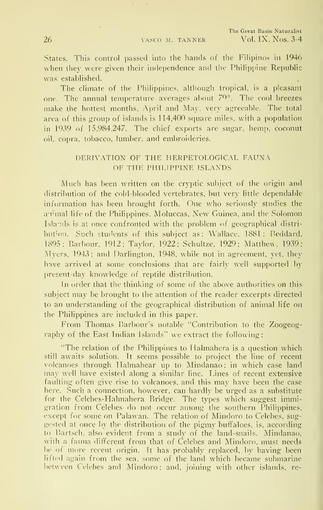States. This control passed into the hands of the Fihpinos in 1946 when they were given their independence and the Philippine Republic was established.

The climate of the Philippines, although tropical, is a pleasant one. The annual temperature averages about 70°. The cool breezes make the hottest months, April and May, very agreeable. The total area of this group of islands is 114,400 square miles, with a population in 1939 of 15,984,247. The chief exports are sugar, hemp, coconut oil. copra, tobacco, lumber, and embroideries.

## DERIVATION OF THE HERPETOLOGICAL FAUNA OF THE PHILIPPINE ISLANDS

Much has been written on the cryptic subject of the origin and distribution of the cold-blooded vertebrates, but very little dependable information has been brought forth. One who seriously studies the animal life of the Philippines, Moluccas, New Guinea, and the Solomon Islands is at once confronted with the problem of geographical distribution. Such students of this subject as: Wallace, 1881; Reddard, 1895; Barbour. 1912; Taylor, 1922; Schultze, 1929; Matthew, 1939; Myers, 1943; and Darlington, 1948, while not in agreement, yet, they have arrived at some conclusions that are fairly well supported by present-day knowledge of reptile distribution.

In order that the thinking of some of the above authorities on this subject may be brought to the attention of the reader excerpts directed to an understanding of the geographical distribution of animal life on the Philippines are included in this paper.

From Thomas Barbour's notable "Contribution to the Zoogeography of the East Indian Islands" we extract the following:

"The relation of the Philippines to Halmahera is a question which still awaits solution. It seems possible to project the line of recent volcanoes through Halmahear up to Mindanao; in which case land may well have existed along a similar line. Lines of recent extensive faulting often give rise to volcanoes, and this may have been the case here. Such a connection, however, can hardly be urged as a substitute for the Celebes-Halmahera Bridge. The types which suggest immigration from Celebes do not occur among the southern Philippines, except for some on Palawan. The relation of Mindoro to Celebes, suggested at once by the distribution of the pigmy buffaloes, is, according to Bartsch, also evident from a study of the land-snails. Mindanao. with a fauna different from that of Celebes and Mindoro, must needs be of more recent origin. It has probably replaced, by having been lifted again from the sea, some of the land which became submarine the between Celebes and Mindoro; and, joining with other islands, re-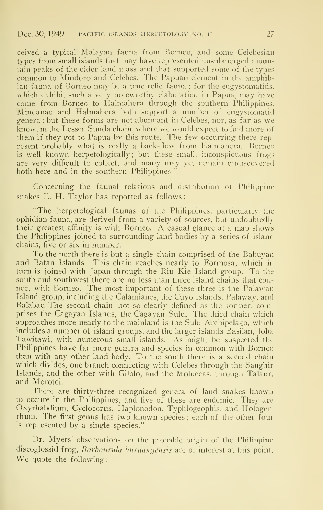ceived a typical Malayan fauna from Borneo, and some Celebesian types from small islands that may have represented unsubmerged mountain peaks of the older land mass and that supported some of the types common to Mindoro and Celebes. The Papuan element in the amphibian fauna of Borneo may be a true relic fauna ; for the engystomatids, which exhibit such a very noteworthy elaboration in Papua, may have come from Borneo to Halmahera through the southern Philippines. Mindanao and Halmahera both support a number of engystomatid genera ; but these forms are not abunnant in Celebes, nor, as far as we know, in the Lesser Sunda chain, where we would expect to find more of them if they got to Papua by this route. The few occurring there rep resent probably what is really a back-flow from Halmahera. Borneo is well known herpetologically; but these small, inconspicuous frogs are very difficult to collect, and many may yet remain undiscovered both here and in the southern Philippines."

Concerning the faunal relations and distribution of Philippine snakes E. H. Taylor has reported as follows:

"The herpetological faunas of the Philippines, particularly the ophidian fauna, are derived from a variety of sources, but undoubtedly their greatest affinity is with Borneo. A casual glance at <sup>a</sup> map shows the Philippines joined to surrounding land bodies by a series of island chains, five or six in number.

To the north there is but a single chain comprised of the Babuyan and Batan Islands. This chain reaches nearly to Formosa, which in turn is joined with Japan through the Riu Kie Island group. To the south and southwest there are no less than three island chains that connect with Borneo. The most important of these three is the Palawan Island group, including the Calamianes, the Cuyo Islands, Palaway, and Balabac. The second chain, not so clearly defined as the former, comprises the Cagayan Islands, the Cagayan Sulu. The third chain which approaches more nearly to the mainland is the Sulu Archipelago, which includes a number of island groups, and the larger islands Basilan, Jolo, Tawitawi, with numerous small islands. As might be suspected the Philippines have far more genera and species in common with Borneo than with any other land body. To the south there is a second chain which divides, one branch connecting with Celebes through the Sanghir Islands, and the other with Gilolo, and the Moluccas, through Talaur, and Morotei.

There are thirty-three recognized genera of land snakes known to occure in the Philippines, and five of these are endemic. They are Oxyrhabdium, Cyclocorus, Haplonodon, Typhlogeophis, and Hologerrhum. The first genus has two known species ; each of the other four is represented by a single species."

Dr. Myers' observations on the probable origin of the Philippine discoglossid frog, Barbourula busuangensis are of interest at this point. We quote the following: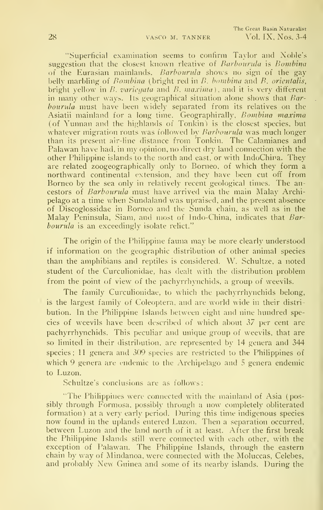"Superficial examination seems to confirm Taylor and Noble's suggestion that the closest known rleative of Barbourula is Bombina of the Eurasian mainlands. Barbourula shows no sign of the gay belly marbling of  $Bombina$  (bright red in  $B$ , bombina and  $B$ , orientalis, bright yellow in  $B$ , variegata and  $B$ , maxima), and it is very different in many other ways. Its geographical situation alone shows that Bar $bounda$  must have been widely separated from its relatives on the Asiatii mainland for a long time. Geographirally, Bombina maxima (of Yunnan and the highlands of Tonkin) is the closest species, but whatever migration routs was followed by *Barbourula* was much longer than its present air-line distance from Tonkin. The Calamianes and Palawan have had. in my opinion, no direct dry land connection with the other Philippine islands to the north and east, or with IndoChina. They are related zoogeographically only to Borneo, of which they form a northward continental extension, and they have been cut off from Borneo by the sea only in relatively recent geological times. The ancestors of Barbourula must have arrived via the main Malay Archipelago at a time when Sundaland was upraised, and the present absence of Discoglossidae in Borneo and the Sunda chain, as well as in the Malay Peninsula, Siam, and most of Indo-China, indicates that Barbourula is an exceedingly isolate relict."

The origin of the Philippine fauna may be more clearly understood if information on the geographic distribution of other animal species than the amphibians and reptiles is considered. W. Schultze, <sup>a</sup> noted student of the Curculionidae, has dealt with the distribution problem from the point of view of the pachyrrhynchids, a group of weevils.

The family Curculionidae, to which the pachyrrhynchids belong, is the largest family of Coleoptera, and are world wide in their distri bution. In the Philippine Islands between eight and nine hundred species of weevils have been described of which about 37 per cent are pachyrrhynchids. This peculiar and unique group of weevils, that are so limited in their distribution, are represented by 14 genera and 344 species; 11 genera and 309 species are restricted to the Philippines of which 9 genera are endemic to the Archipelago and <sup>5</sup> genera endemic to Luzon.

Schultze's conclusions are as follows:

"The Philippines were connected with the mainland of Asia (possibly through Formosa, possibly through a now completely obliterated formation) at a very early period. During this time indigenous species now found in the uplands entered Luzon. Then <sup>a</sup> separation occurred, between Luzon and the land north of it at least. After the first break the Philippine Islands still were connected with each other, with the exception of Palawan. The Philippine Islands, through the eastern chain by way of Mindanoa, were connected with the Moluccas, Celebes, and probably New Guinea and some of its nearby islands. During the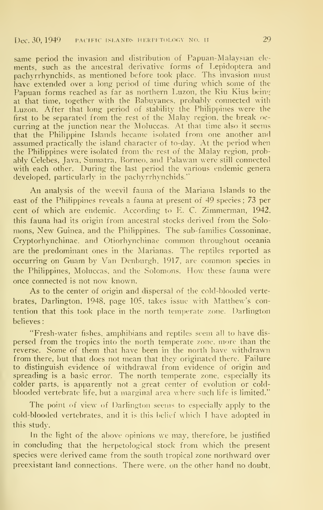## Dec. 30, 1949 **FACIFIC ISLANDS HERPETOLOGY NO. 11** 29

same period the invasion and distribution of Papuan-Malaysian ele ments, such as the ancestral derivative forms of Lepidoptera and pachvrrhynchids, as mentioned before took place. Ths invasion must have extended over a long period of time during which some of the Papuan forms reached as far as northern Luzon, the Riu Kius being at that time, together with the Babuyanes, probably connected with Luzon. After that long period of stability the Philippines were the first to be separated from the rest of the Malay region, the break oc curring at the junction near the Moluccas. At that time also it seems that the Philippine Lslands became isolated from one another and assumed practically the island character of to-day. At the period when the Philippines were isolated from the rest of the Malay region, probably Celebes, Java, Sumatra, Borneo, and Palawan were still connected with each other. During the last period the various endemic genera developed, particularly in the pachyrrhynchids.'"

An analysis of the weevil fauna of the Mariana Islands to the east of the Philippines reveals a fauna at present of 49 species ; 73 per cent of which are endemic. According to E. C. Zimmerman, 1942, this fauna had its origin from ancestral stocks derived from the Solomons, New Guinea, and the Philippines. The sub-families Cossoninae, Cryptorhynchinae, and Otiorhynchinae common throughout oceania are the predominant ones in the Marianas. The reptiles reported as occurring on Guam by Van Denburgh. 1917, are common species in the Philippines, Moluccas, and the Solomons. How these fauna were once connected is not now known.

As to the center of origin and dispersal of the cold-blooded vertebrates, Darlington, 1948, page 105, takes issue with Matthew's contention that this took place in the north temperate zone. Darlington believes

"Fresh-water fishes, amphibians and reptiles seem all to have dis persed from the tropics into the north temperate zone, more than the reverse. Some of them that have been in the north have withdrawn from there, but that does not mean that they originated there. Failure to distinguish evidence of withdrawal from evidence of origin and spreading is a basic error. The north temperate zone, especially its colder parts, is apparently not a great center of evolution or cold blooded vertebrate life, but a marginal area where such life is limited."

The point of view of Darlington seems to especially apply to the cold-blooded vertebrates, and it is tliis belief w liich <sup>T</sup> have adopted in this study.

In the light of the above opinions we may, therefore, be justified in concluding that the herpetological stock from which the present species were derived came from the south tropical zone northward over preexistant land connections. There were, on the other hand no doubt,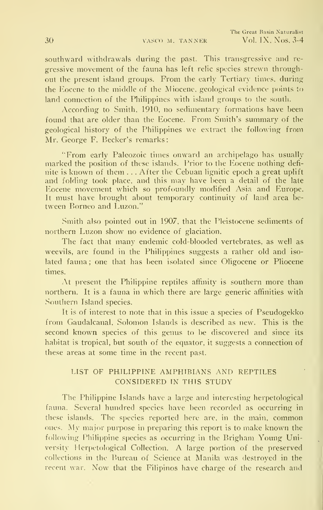southward withdrawals during the past. This transgressive and re gressive movement of the fauna has left relic species strewn throughout the present island groups. From the early Tertiary times, during the Eocene to the middle of the Miocene, geological evidence points to land connection of the Philippines with island groups to the south.

According to Smith, 1910, no sedimentary formations have been found that are older than the Eocene. From Smith's summary of the geological history of the Philippines we extract ihe following from Mr. George F. Becker's remarks:

"From early Paleozoic times onward an archipelago has usually marked the position of these islands. Prior to the Eocene nothing defi nite is known of them . . . After the Cebuan lignitic epoch a great uplift and folding took place, and this may have been <sup>a</sup> detail of the late Eocene movement which so profoundly modified Asia and Europe. It must have brought about temporary continuity of land area between Borneo and Luzon."

.Smith also pointed out in 1907, that the Pleistocene sediments of northern Luzon show no evidence of glaciation.

The fact that many endemic cold-blooded vertebrates, as well as weevils, are found in the Philippines suggests a rather old and iso lated fauna ; one that has been isolated since Oligocene or Pliocene times.

At present the Philippine reptiles affinity is southern more than northern. It is a fauna in which there are large generic affinities with Southern Island species.

It is of interest to note that in this issue a species of Pseudogekko from Gaudalcanal, Solomon Islands is described as new. This is the second known species of this genus to be discovered and since its habitat is tropical, but south of the equator, it suggests a connection of these areas at some time in the recent past.

## LIST OF PHILIPPINE AMPHIBIANS AND REPTILES CONSIDERED IN THIS STUDY

The Philippine Islands have a large and interesting herpetological fauna. Several hundred species have been recorded as occurring in these islands. The species reported here are, in the main, common ones. My major purpose in preparing this report is to make known the following Philippine species as occurring in the Brigham Young University Herpetological Collection. A large portion of the preserved collections in the Bureau of Science at Manila was destroyed in the recent war. Now that the Filipinos have charge of the research and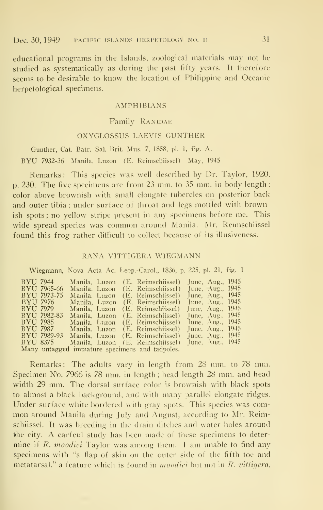educational programs in the Islands, zoological materials may not be studied as systematically as during the past fifty years. It therefore seems to be desirable to know the location of Philippine and Oceanic herpetological specimens.

## AMPHIBIANS

#### Family RANIDAE

#### OXYGLOSSUS LAEVIS GUNTHER

Gunther, Cat. Batr. Sal. Brit. Mus. 7, 1858. pi. 1, fig. A. BYU 7932-36 Manila, Luzon (E. Reimschiissel) May, <sup>1945</sup>

Remarks: This species was well described by Dr. Taylor, 1920. p. 230. The five specimens are from 23 mm. to 35 mm. in body length ; color above brownish with small elongate tubercles on posterior back and outer tibia ; under surface of throat and legs mottled with brownish spots; no yellow stripe present in any specimens before me. This wide spread species was common around Manila. Mr. Remischiissel found this frog rather difficult to collect because of its illusiveness.

## RANA VITTIGERA WIEGMANN

Wiegmann, Nova Acta Ac. Leop.-Carol., 1836, p. 225, pi. 21, fig. <sup>1</sup>

| BYU 7944<br>BYU 7965-66<br>BYU 7973-75<br>BYU 7976<br>BYU 7979<br>BYU 7982-83<br>BYU 7985<br>BYU 7987 | Manila, Luzon<br>Manila, Luzon<br>Manila. Luzon<br>Manila, Luzon<br>Manila. Luzon<br>Manila, Luzon<br>Manila, Luzon | (E. Reimschiissel)<br>(E. Reimschiissel)<br>(E. Reimschiissel)<br>(E. Reimschiissel)<br>(E. Reimschiissel)<br>(E. Reimschiissel)<br>(E. Reimschiissel)<br>Manila, Luzon (E. Reimschiissel) | June, Aug., 1945<br>June, Aug., $1945$<br>June, Aug., 1945<br>June, Aug., $1945$<br>June, Aug., 1945<br>June, Aug., $1945$<br>June, Aug., $1945$<br>June, Aug., $1945$ |  |
|-------------------------------------------------------------------------------------------------------|---------------------------------------------------------------------------------------------------------------------|--------------------------------------------------------------------------------------------------------------------------------------------------------------------------------------------|------------------------------------------------------------------------------------------------------------------------------------------------------------------------|--|
| <b>BYU 7989-93</b>                                                                                    |                                                                                                                     | Manila, Luzon (E. Reimschiissel)                                                                                                                                                           | June, $\lambda$ ug., 1945                                                                                                                                              |  |
| BYU 8375                                                                                              |                                                                                                                     | Manila, Luzon (E. Reimschiissel)                                                                                                                                                           | June, $\Delta$ ug., 1945                                                                                                                                               |  |
|                                                                                                       |                                                                                                                     | Many untagged immature specimens and tadpoles.                                                                                                                                             |                                                                                                                                                                        |  |

Remarks: The adults vary in length from 28 mm. to 78 mm. Specimen No. 7966 is 78 mm. in length ; head length 28 mm. and head width 29 mm. The dorsal surface color is brownish with black spots to almost a black background, arid with many parallel elongate ridges. Under surface white bordered with gray spots. This species was com mon around Manila during July and August, according to Mr. Reimschiissel. It was breeding in the drain ditches and water holes around the city. A carfeul study has been made of these specimens to deter mine if R. moodiei Taylor was among them. 1 am unable to find any specimens with "a flap of skin on the outer side of the fifth toe and metatarsal." a feature which is found in moodiei but not in R. vittigera.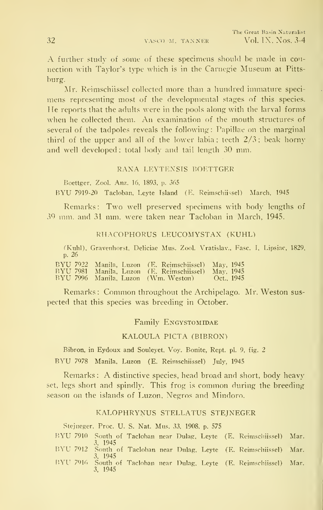A further study of some of these specimens should be made in connection with Taylor's type which is in the Carnegie Museum at Pittsburg.

Mr. Reimschiissel collected more than a hundred immature speci mens representing most of the developmental stages nf this species. He reports that the adults were in the pools along with the larval forms when he collected them. An examination of the mouth structures of several of the tadpoles reveals the following: Papillae on the marginal third of the upper and all of the lower labia ; teeth 2/3 ; beak horny and well developed; total body and tail length 30 mm.

#### RANA LEYTENSIS BOETTGER

Boettger, Zool. Anz. 16, 1893, p. 365

BYU 7919-20 Tacloban, Leyte Island (E. Reimschiissel) March, 1945

Remarks: Two well preserved specimens with body lengths of 39 mm. and 31 mm. were taken near Tacloban in March, 1945.

#### RHACOPHORUS LEUCOMYSTAX (KUHL)

(Kuhl), Gravenhorst, Deliciae Mus. Zool. Vratislav., Fasc. I, Lipsiac, 1829, p. 26

BYU <sup>7922</sup> Manila, Luzon (E. Reimschiissel) Mav, <sup>1945</sup> BYU <sup>7981</sup> Manila. Luzon (E. Reimschiissel) Mav, <sup>1945</sup> BYU <sup>7996</sup> Manila. Luzon (Wm. Weston) Oct.. <sup>1945</sup>

Remarks: Common throughout the Archipelago. Mr. Weston sus pected that this species was breeding in October.

Family ENGYSTOMIDAE

KALOULA PICTA (BIBRON)

Bibron, in Eydoux and Souleyet. Voy. Bonite. Rept. pi. 9, fig. 2

BYU 7978 Manila, Luzon (E. Reimschiissel) July, 1945

Remarks : A distinctive species, head broad and short, body heavy set, legs short and spindly. This frog is common during the breeding season on the islands of Luzon, N'egros and Mindoro.

#### KALOPHRYNUS STELLATUS STEJNEGER

Stejneger. Proc. U. S. Nat. Mus. 33, 1908, p. 575

V>Yll 7910 South of Tacloban near Dulag, Leyte (E. Reimschiissel) Mar. 3. <sup>1945</sup> BYU <sup>7912</sup> .South of Tacloban near Dulag, Leyte (E. Reimschiissel) Mar. 3. 1945 BYU 7916 South of Tacloban near Dulag. Leyte (E. Reimschiissel) Mar. 3, 1945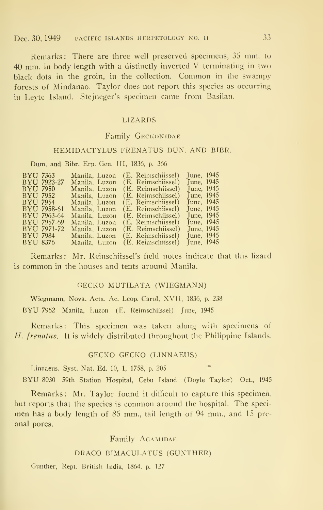## Dec. 30, 1949 PACIFIC ISLANDS HERPETOLOGY NO. 11 33

Remarks: There are three well preserved specimens, 35 mm. to 40 mm. in body length with <sup>a</sup> distinctly inverted V terminating in two black dots in the groin, in the collection. Common in the swampy forests of Mindanao. Taylor does not report this species as occurring in Leyte Island. Stejneger's specimen came from Basilan.

## LIZARDS

## Family GECKONIDAE

## HEMIDACTYLUS FRENATUS DUN. AND BIBR.

Dum. and Bibr. Erp. Gen. Ill, 1836, p. 366

| June, 1945 |
|------------|
| June, 1945 |
| June, 1945 |
| June, 1945 |
| June, 1945 |
| June, 1945 |
| June, 1945 |
| June, 1945 |
| June, 1945 |
| June, 1945 |
| June, 1945 |
|            |

Remarks: Mr. Reinschiissel's field notes indicate that this lizard is common in the houses and tents around Manila.

#### GECKO MUTILATA (WIEGMANN)

Wiegmann, Nova. Acta. Ac. Leop. Carol, XVII, 1836, p. 238 BYU <sup>7962</sup> Manila, Luzon (E. Reimschiissel) June, <sup>1945</sup>

Remarks: This specimen was taken along with specimens of H. frenatus. It is widely distributed throughout the Philippine Islands.

## GECKO GECKO (LINNAEUS)

Linnaeus, Syst. Nat. Ed. 10, 1, 1758, p. <sup>205</sup> "

BYU <sup>8030</sup> 59th Station Hospital, Cebu Island (Doyle Taylor) Oct., <sup>1945</sup>

Remarks: Mr. Taylor found it difficult to capture this specimen, but reports that the species is common around the hospital. The speci men has a body length of 85 mm., tail length of 94 mm., and 15 pre anal pores.

## Family Agamidae

## DRACO BIMACULATUS (GUNTHER)

Gunther, Rept. British India, 1864, p. 127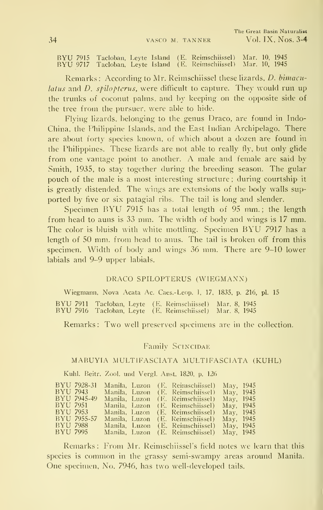BYU <sup>7915</sup> Tacloban, Leyte Island (E. Reimschiissel) Mar. 10, <sup>1945</sup> BYU <sup>9717</sup> Tacloban, Leyte Island (E. Reimschiissel) Mar. 10, <sup>1945</sup>

Remarks: According to Mr. Reimschiissel these lizards, *D. bimacu*latus and D. spilopterus, were difficult to capture. They would run up the trunks of coconut palms, and by keeping on the opposite side of the tree from the pursuer, were able to hide.

Flying lizards, belonging to the genus Draco, are found in Indo-China, the Philippine Islands, and the East Indian Archipelago. There are about forty species known, of which about a dozen are found in the Philippines. These lizards are not able to really fly, but only glide from one vantage point to another. A male and female are said by Smith, 1935, to stay together during the breeding season. The gular pouch of the male is a most interesting structure ; during courtship it is greatly distended. The wings are extensions of the body walls sup ported by five or six patagial ribs. The tail is long and slender.

Specimen BYU 7915 has a total length of 95 mm.; the length from head to auns is 33 mm. The width of body and wings is 17 mm. The color is bluish with white mottling. Specimen BYU <sup>7917</sup> has <sup>a</sup> length of 50 mm. from head to anus. The tail is broken off from this specimen. Width of body and wings 36 mm. There are 9-10 lower labials and 9-9 upper labials.

### DRACO SPILOPTERUS (WIEGMANN)

Wiegmann, Nova Acata Ac. Caes.-Leop. ], 17, 1835, p. 216, pi. 15 BYU <sup>7911</sup> Tacloban, Leyte (E. Reimschiissel) Mar. 8, <sup>1945</sup> BYU <sup>7916</sup> Tacloban, Leyte (E. Reimschiissel) Mar. 8, <sup>1945</sup>

Remarks: Two well preserved specimens are in the collection.

## Family SCINCIDAE

## MABUYIA MULTIFASCLATA MULTIFASCIATA (KUHL)

Kuhl. Beitr. Zool. and Vergl. Anst. 1820, p. 126

| BYU 7928-31 |  | Manila, Luzon (E. Reimschiissel)           | May, 1945 |  |
|-------------|--|--------------------------------------------|-----------|--|
| BYU 7943 -  |  | Manila, Luzon (E. Reimschiissel)           | May, 1945 |  |
| BYU 7945-49 |  | Manila, Luzon (E. Reimschiissel)           | May, 1945 |  |
| BYU 7951 -  |  | Manila, Luzon (E. Reimschiissel)           | May, 1945 |  |
| BYU 7953    |  | Manila, Luzon (E. Reimschiissel)           | May, 1945 |  |
| BYU 7955-57 |  | Manila, Luzon (E. Reimschiissel)           | May, 1945 |  |
| BYU 7988    |  | Manila, Luzon (E. Reimschiissel) May, 1945 |           |  |
| BYU 7995    |  | Manila, Luzon (E. Reimschiissel) May, 1945 |           |  |

Remarks: From Mr. Reimschiissel's field notes we learn that this species is common in the grassy semi-swampy areas around Manila. One specimen, No. 7946, has two well-developed tails.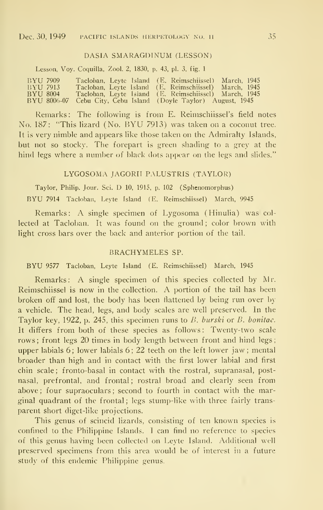#### DASIA SMARAGDINUM (LESSON)

Lesson, Voy. Coquilla, Zool. 2, 1830, p. 43, pi. 3, fig. <sup>1</sup>

| BYU 7909    |  | Tacloban, Leyte Island (E. Reimschiissel) March, 1945 |  |
|-------------|--|-------------------------------------------------------|--|
| BYU 7913    |  | Tacloban, Leyte Island (E. Reimschiissel) March, 1945 |  |
| BYU 8004    |  | Tacloban, Leyte Island (E. Reimschiissel) March, 1945 |  |
| BYU 8006-07 |  | Cebu City, Cebu Island (Doyle Taylor) August, 1945    |  |

Remarks: The following is from E. Reimschiissel's field notes No. 187: "This lizard (No. BYU 7913) was taken on <sup>a</sup> coconut tree. It is very nimble and appears like those taken on the Admiralty Islands, but not so stocky. The forepart is green shading to a grey at the hind legs where a number of black dots appear on the legs and slides."

## LYGOSOMA JAGORII PALUSTRIS (TAYLOR)

Taylor, Philip. Jour. Sci. D 10, 1915, p. 102 (Sphenomorphus)

BYU <sup>7914</sup> Tacloban, Leyte Island (E. Reimschiissel) March, <sup>9945</sup>

Remarks: A single specimen of Lygosoma (Hinulia) was col lected at Tacloban. It was found on the ground; color brown with light cross bars over the back and anterior portion of the tail.

### BRACHYMELES SP.

BYU <sup>9577</sup> Tacloban, Leyte Island (E. Reimschiissel) March, <sup>1945</sup>

Remarks: A single specimen of this species collected by Mr. Reimschiissel is now in the collection. A portion of the tail has been broken off and lost, the body has been flattened by being run over by a vehicle. The head, legs, and body scales are well preserved. In the Taylor key, 1922, p. 245, this specimen runs to B. burski or B. bonitae. It differs from both of these species as follows: Twenty-two scale rows; front legs 20 times in body length between front and hind legs; upper labials 6; lower labials 6; 22 teeth on the left lower jaw; mental broader than high and in contact with the first lower labial and first chin scale; fronto-basal in contact with the rostral, supranasal, postnasal, prefrontal, and frontal; rostral broad and clearly seen from above ; four supraoculars ; second to fourth in contact with the marginal quadrant of the frontal; legs stump-like with three fairly transparent short diget-like projections.

This genus of scincid lizards, consisting of ten known species is confined to the Philippine Islands. <sup>I</sup> can find no reference to species of this genus having been collected on Leyte Island. Additional well preserved specimens from this area would be of interest in a future study of this endemic Philippine genus.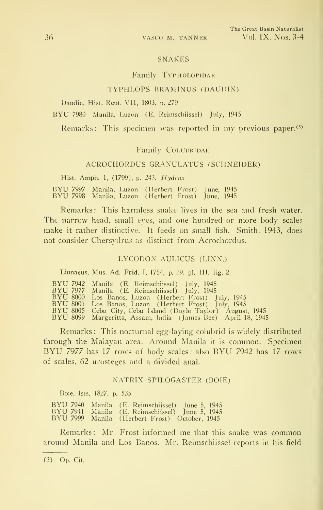#### SNAKES

#### Family TYPHOLOPIDAE

## TYPHLOPS BRAMINUS (DAUDIN)

Daudin, Hist. Rept. VII, 1803, p. 279

BYU <sup>7980</sup> Manila, Luzon (E. Reimschiissel) July, <sup>1945</sup>

Remarks: This specimen was reported in my previous paper.<sup>(3)</sup>

#### Family COLUBRIDAE

## ACROCHORDUS GRANULATUS (SCHNEIDER)

Hist. Amph. 1, (1799), p. 243. Hydrus

BYU <sup>7997</sup> Manila, Luzon (Herbert Fro.st) June, <sup>1945</sup> BYU <sup>7998</sup> Manila, Luzon (Herbert Frost) June, <sup>1945</sup>

Remarks: This harmless snake lives in the sea and fresh water. The narrow head, small eyes, and one hundred or more body scales make it rather distinctive. It feeds on small fish. Smith, 1943, does not consider Chersydrus as distinct from Acrochordus.

#### LYCODON AULICUS (LINN.)

Linnaeus, Mus. Ad. Frid. I, 1754, p. 29, pi. Ill, fig. 2

|  | BYU 7942 Manila (E. Reimschiissel) July, 1945                |
|--|--------------------------------------------------------------|
|  | BYU 7977 Manila (E. Reimschiissel) July, 1945                |
|  | BYU 8000 Los Banos, Luzon (Herbert Frost) July, 1945         |
|  | BYU 8001 Los Banos, Luzon (Herbert Frost) July, 1945         |
|  | BYU 8005 Cebu City, Cebu Island (Dovle Taylor) August, 1945  |
|  | BYU 8099 Margeritta, Assam, India (James Bee) April 18, 1945 |

Remarks: This nocturnal egg-laying colubrid is widely distributed through the Malayan area. Around Manila it is common. Specimen BYU <sup>7977</sup> has <sup>17</sup> rows of body scales; also BYU <sup>7942</sup> has <sup>17</sup> rows of scales, 62 urosteges and a divided anal.

#### NATRIX SPILOGASTER (BOIE)

Boie, Isis, 1827, p. 535

|  | BYU 7940 Manila (E. Reimschiissel) June 5, 1945       |
|--|-------------------------------------------------------|
|  | BYU 7941 - Manila - (E. Reimschiissel) - June 5, 1945 |
|  | BYU 7999 Manila (Herbert Frost) October, 1945         |

Remarks: Mr. Frost informed me that this snake was common around Manila and Los Banos. Mr. Reimschiissel reports in his field

(3) Op. Cit.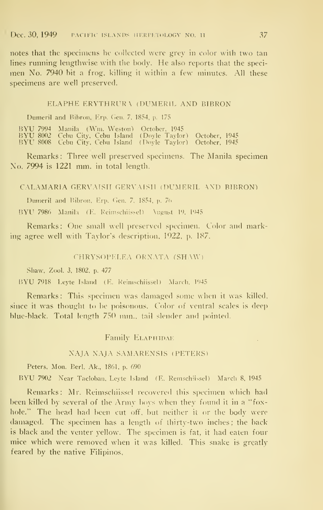notes that the specimens he collected were grey in color with two tan lines running lengthwise with the body. He also reports that the specimen No. 7940 bit a frog, killing it within a few minutes. All these specimens are well preserved.

#### ELAPHE ERYTHRURA (DUMERIL AND BIBRON

Dumeril and Bibron, Erp. Gen. 7, 1854, p. 175

BYU <sup>7994</sup> Manila (Wni. Weston) October, <sup>1945</sup> BYU <sup>8002</sup> Cebu Citv, Cebu Island (Dovle Taylor) October, <sup>1945</sup> RYU <sup>8008</sup> Cebu City, Cebu Island (Doyle Taylor) October, <sup>1945</sup>

Remarks: Three well preserved specimens. The Manila specimen  $\overline{N}$ o. 7994 is 1221 mm. in total length.

#### CALAMARIA GERVAISII GERVAISII (DUMERIL AND BIBRON)

Dumeril and Bibron, Erp. Gen. 7, 1854, p. 76

BYU 7986 Manila (E. Reimschiissel) \ugust 19, 1945

Remarks: One small well preserved specimen. Color and marking agree well with Taylor's description, 1922, p. 187.

## CHRYSOPELEA ORNATA (SHAW)

Shaw, Zool. 3, 1802, p. 477

BYU 7918 Leyte Island (E. Reinischiissel) March. 1945

Remarks: This specimen was damaged some when it was killed, since it was thought to be poisonous. Color of ventral scales is deep blue-black. Total length 750 mm., tail slender and pointed.

## Family ELAPHIDAE

#### NAJA NAJA SAMARENSIS (PETERS)

Peters, Mon. Berl, Ak., 1861, p. 690

BYU <sup>7902</sup> Near Tacloban, Leyte Island (E. Remschiissel) March 8, <sup>1945</sup>

Remarks: Mr. Reimschiissel recovered this specimen which had been killed by several of the  $\rm{Armv}$  boys when they found it in a "foxhole." The head had been cut off, but neither it or the body were damaged. The specimen has a length of thirty-two inches; the back is black and the venter yellow. The specimen is fat, it had eaten four mice which were removed when it was killed. This snake is greatly feared by the native Filipinos.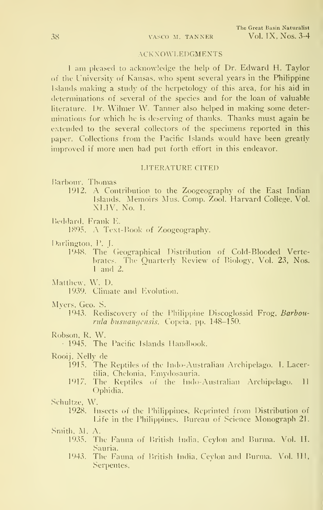## **ACKNOWLEDGMENTS**

<sup>I</sup> am pleased to acknowledge the help of Dr. Edward H. Taylor of the University of Kansas, who spent several years in the Philippine Islands making a study of the herpetology of this area, for his aid in determinations of several of the species and for the loan of valuable literature. Dr. Wilmer W. Tanner also helped in making some deter minations for which he is deserving of thanks. Thanks must again be extended to the several collectors of the specimens reported in this paper. Collections from the Pacific Islands would have been greatly improved if more men had put forth effort in this endeavor.

## LITERATURE CITED

Barbour. Thomas

1912. A Contribution to the Zoogeography of the East Indian Islands. Memoirs Mus. Comp. Zool. Harvard College, Vol. XLIV. No. 1.

Beddard, Frank E.

1895. A Text-Book of Zoogeography.

Darlington, P. J.

1948. The (ieographical Distribution of Cold-Blooded Vertebrates. The Ouarterlv Review of Biologv, Vol. 23, Nos. <sup>1</sup> and 2.

Matthew, W. D.

1939. Climate and Evolution.

Myers, Geo. S.

1943. Rediscovery of the Philippine Discoglossid Frog, Barbourula busuangensis. Copeia, pp. 148-150.

Robson. R. W.

1945. The Pacific Islands Handbook.

Rooij, Nelly de

- 1915. The Reptiles of the Indo-Australian Archipelago. 1. Lacertilia, Chelonia. Emydosauria.
- 1917. The Reptiles of the Indo-Australian Archipelago. II Ophidia.

.Schultze, W.

1928. Insects of the Philippines. Reprinted from Distribution of Life in the Philippines. Bureau of Science Monograph 21.

.Smith, M. A.

- 1935. The Fauna of Pritish India. Ceylon and Burma. Vol. II. Sauria.
- 1943. The Fauna of British India, Ceylon and Burma. Vol. HI, Serpentes,